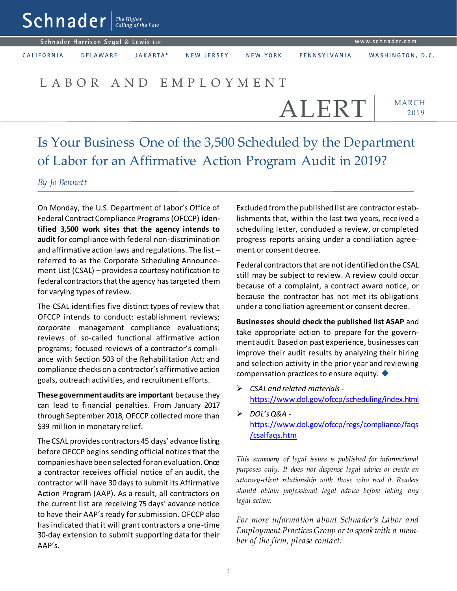Schnader Harrison Segal & Lewis LLP

 $\mathsf{Sch}$ nader  $\vert$ <sup>The Higher</sup>

CALIFORNIA

**DELAWARE** JAKARTA\* NEW JERSEY

NEW YORK

WASHINGTON, D.C.

## L A B O R A N D E M P L O Y M E N T

ALERT

PENNSYLVANIA

MARCH 2019

# Is Your Business One of the 3,500 Scheduled by the Department of Labor for an Affirmative Action Program Audit in 2019?

#### *By Jo Bennett*

On Monday, the U.S. Department of Labor's Office of Federal Contract Compliance Programs (OFCCP) **identified 3,500 work sites that the agency intends to audit** for compliance with federal non-discrimination and affirmative action laws and regulations. The list – referred to as the Corporate Scheduling Announcement List (CSAL) – provides a courtesy notification to federal contractors that the agency has targeted them for varying types of review.

The CSAL identifies five distinct types of review that OFCCP intends to conduct: establishment reviews; corporate management compliance evaluations; reviews of so-called functional affirmative action programs; focused reviews of a contractor's compliance with Section 503 of the Rehabilitation Act; and compliance checks on a contractor's affirmative action goals, outreach activities, and recruitment efforts.

**These government audits are important** because they can lead to financial penalties. From January 2017 through September 2018, OFCCP collected more than \$39 million in monetary relief.

The CSAL provides contractors 45 days' advance listing before OFCCP begins sending official notices that the companies have been selected for an evaluation. Once a contractor receives official notice of an audit, the contractor will have 30 days to submit its Affirmative Action Program (AAP). As a result, all contractors on the current list are receiving 75 days' advance notice to have their AAP's ready for submission. OFCCP also has indicated that it will grant contractors a one-time 30‐day extension to submit supporting data for their AAP's.

Excluded from the published list are contractor establishments that, within the last two years, received a scheduling letter, concluded a review, or completed progress reports arising under a conciliation agreement or consent decree.

Federal contractors that are not identified on the CSAL still may be subject to review. A review could occur because of a complaint, a contract award notice, or because the contractor has not met its obligations under a conciliation agreement or consent decree.

**Businesses should check the published list ASAP** and take appropriate action to prepare for the government audit. Based on past experience, businesses can improve their audit results by analyzing their hiring and selection activity in the prior year and reviewing compensation practices to ensure equity.

- *CSAL and related materials*<https://www.dol.gov/ofccp/scheduling/index.html>
- *DOL's Q&A* [https://www.dol.gov/ofccp/regs/compliance/faqs](https://www.dol.gov/ofccp/regs/compliance/faqs/csalfaqs.htm) [/csalfaqs.htm](https://www.dol.gov/ofccp/regs/compliance/faqs/csalfaqs.htm)

*This summary of legal issues is published for informational purposes only. It does not dispense legal advice or create an attorney-client relationship with those who read it. Readers should obtain professional legal advice before taking any legal action.*

*For more information about Schnader's Labor and Employment Practices Group or to speak with a member of the firm, please contact:*